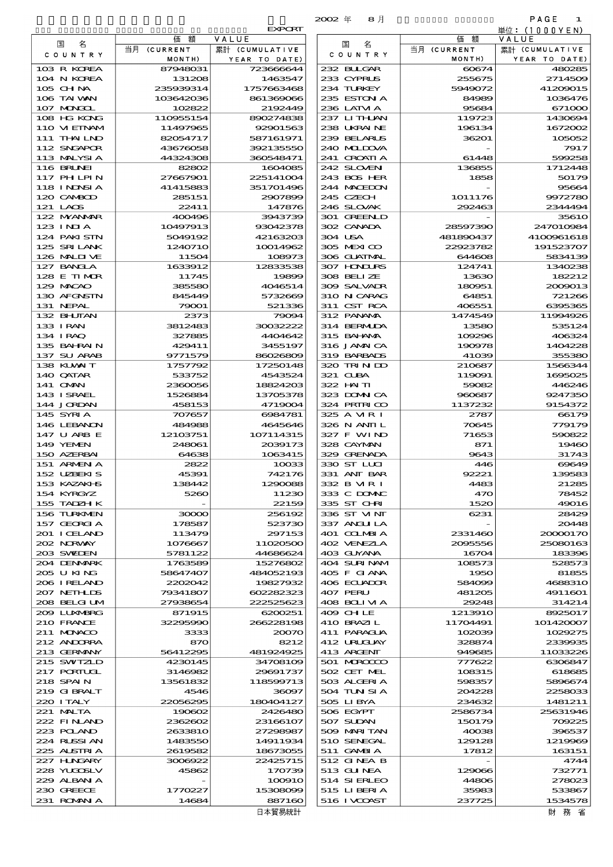|                              |                        |                         | 8月<br>$2002 \#$            |                       | PAGE<br>1               |
|------------------------------|------------------------|-------------------------|----------------------------|-----------------------|-------------------------|
|                              |                        | <b>EXPORT</b>           |                            |                       | 単位: (1000YEN)           |
| 名<br>国                       | 価<br>額<br>当月 (CURRENT  | VALUE<br>累計 (CUMULATIVE | 名<br>国                     | 価<br>額<br>当月 (CURRENT | VALUE<br>累計 (CUMULATIVE |
| C O U N T R Y                | MONTH)                 | YEAR TO DATE)           | C O U N T R Y              | MONTH)                | YEAR TO DATE)           |
| 103 R KOREA                  | 87948031               | 723666644               | 232 BLIGAR                 | 60674                 | 480285                  |
| 104 N KOREA                  | 131208                 | 1463547                 | 233 CYPRUS                 | 255675                | 2714509                 |
| 105 CH NA<br>106 TAI WAN     | 235939314<br>103642036 | 1757663468<br>861369066 | 234 TURKEY<br>235 ESTON A  | 5949072<br>84989      | 41209015<br>1036476     |
| 107 MONGOL                   | 102822                 | 2192449                 | 236 LATM A                 | 95684                 | 671000                  |
| 108 HG KONG                  | 110955154              | 890274838               | 237 LITHAN                 | 119723                | 1430694                 |
| 110 VIEINAM                  | 11497965               | 92901563                | 238 UKRAINE                | 196134                | 1672002                 |
| 111 THAILND                  | 82054717               | 587161971               | 239 BELARUS                | 36201                 | 105052                  |
| 112 SNGAPOR<br>113 MALYSIA   | 43676058<br>44324308   | 392135550<br>360548471  | 240 MIDOVA<br>241 CROATIA  | 61448                 | 7917<br>599258          |
| 116 BRUNEI                   | 82802                  | 1604085                 | 242 SLOVEN                 | 136855                | 1712448                 |
| 117 PHLPIN                   | 27667901               | 225141004               | 243 BOS HER                | 1858                  | 50179                   |
| 118 I NDNSI A                | 41415883               | 351701496               | 244 MACEDON                |                       | 95664                   |
| 120 CAMBOD                   | 285151                 | 2907899                 | 245 CZECH                  | 1011176               | 9972780                 |
| 121 LAOS<br>122 NYANAR       | 22411<br>400496        | 147876<br>3943739       | 246 SLOVAK<br>301 GREENLD  | 292463                | 2344494<br>3561O        |
| 123 INIA                     | 10497913               | 93042378                | 302 CANADA                 | 28597390              | 247010984               |
| 124 PAKISTN                  | 5049192                | 42163203                | 304 USA                    | 481890437             | 4100961618              |
| 125 SRILANK                  | 1240710                | 10014962                | 305 MEXICO                 | 22923782              | 191523707               |
| 126 MALINE                   | 11504                  | 108973                  | 306 GUATMAL                | 644608                | 5834139                 |
| 127 BANCLA<br>128 E TIMOR    | 1633912<br>11745       | 12833538<br>19899       | 307 HODURS<br>308 BELLZE   | 124741<br>13630       | 1340238<br>182212       |
| 129 MACAO                    | 385580                 | 4046514                 | 309 SALVADR                | 180951                | 2009013                 |
| 130 AFGNSTN                  | 845449                 | 5732669                 | 310 N CARAG                | 64851                 | 721266                  |
| 131 NEPAL                    | 79001                  | 521336                  | 311 CST RCA                | 406551                | 6395365                 |
| 132 BHUTAN                   | 2373                   | 79094                   | 312 PANAMA                 | 1474549               | 11994926                |
| 133 I RAN<br>134 I RAQ       | 3812483<br>327885      | 30032222<br>4404642     | 314 BERMIDA<br>315 BAHAMA  | 13580<br>109296       | 535124<br>406324        |
| 135 BAHRAIN                  | 429411                 | 3455197                 | 316 JAMAICA                | 190978                | 1404228                 |
| 137 SU ARAB                  | 9771579                | 86026809                | 319 BARBADS                | 41039                 | 355380                  |
| 138 KUWAIT                   | 1757792                | 17250148                | 320 TRINDO                 | 210687                | 1566344                 |
| 140 QATAR                    | 533752                 | 4543524                 | 321 CUBA                   | 119091                | 1695025                 |
| 141 OMN<br>143 ISRAEL        | 2360056<br>1526884     | 18824203<br>13705378    | 322 HAITI<br>323 DOMNICA   | 59082<br>960687       | 446246<br>9247350       |
| 144 JORDAN                   | 458153                 | 4719004                 | 324 PRIRICO                | 1137232               | 9154372                 |
| 145 SYRI A                   | 707657                 | 6984781                 | 325 A MRI                  | 2787                  | 66179                   |
| 146 LEBANON                  | 484988                 | 4645646                 | 326 N ANII L               | 70645                 | 779179                  |
| 147 U ARB E<br>149 YEMEN     | 12103751<br>248061     | 107114315<br>2039173    | 327 F WIND                 | 71653                 | 590822<br>19460         |
| 150 AZERBAI                  | 64638                  | 1063415                 | 328 CAYMAN<br>329 GRENADA  | 871<br>9643           | 31743                   |
| 151 ARMENIA                  | 2822                   | 10033                   | 330 ST LUI                 | 446                   | 69649                   |
| 152 UZBEKIS                  | 45391                  | 742176                  | 331 ANT BAR                | 92221                 | 139583                  |
| 153 KAZAKI S                 | 138442                 | 1290088                 | 332 B MR I                 | 4483                  | 21285                   |
| 154 KYRGYZ<br>155 TADZH K    | 5260                   | 11230<br>22159          | 333 C DOMAC<br>335 ST CHRI | 470<br>1520           | 78452<br>49016          |
| 156 TURKMEN                  | 30000                  | 256192                  | 336 ST MNT                 | 6231                  | 28429                   |
| 157 GEORGIA                  | 178587                 | 523730                  | 337 ANGLILA                |                       | 20448                   |
| 201 I CELAND                 | 113479                 | 297153                  | 401 COLMBIA                | 2331460               | 20000170                |
| 202 NORWAY<br>203 SVELEN     | 1076667<br>5781122     | 11020500<br>44686624    | 402 VENEZIA<br>403 GUYANA  | 2095556<br>16704      | 25080163<br>183396      |
| 204 DENMARK                  | 1763589                | 15276802                | 404 SURINAM                | 108573                | 528573                  |
| 205 U KING                   | 58647407               | 484052193               | 405 F GIANA                | 1950                  | 81855                   |
| 206 I RELAND                 | 2202042                | 19827932                | 406 ECUADOR                | 584099                | 4688310                 |
| 207 NETH LIS                 | 79341807               | 602282323               | 407 PERU                   | 481205                | 4911601                 |
| 208 BELGI UM<br>2009 LUNABRG | 27938654<br>871915     | 222525623<br>6200251    | 408 BOLIVIA<br>409 CHLE    | 29248<br>1213910      | 314214<br>8925017       |
| 210 FRANCE                   | 32295990               | 266228198               | 410 BRAZI L                | 11704491              | 101420007               |
| 211 MUNACO                   | 3333                   | 20070                   | 411 PARAGUA                | 102039                | 1029275                 |
| 212 ANDORRA                  | 870                    | 8212                    | 412 URUGUAY                | 328874                | 2339935                 |
| 213 GERMANY<br>215 SWTZLD    | 56412295<br>4230145    | 481924925<br>34708109   | 413 ARCENT<br>501 MROCCO   | 949685<br>777622      | 11033226<br>6306847     |
| 217 PORTUGL                  | 3146982                | 29691737                | 502 CET MEL                | 108315                | 618685                  |
| 218 SPAI N                   | 13561832               | 118599713               | 503 ALGERIA                | 598357                | 5896674                 |
| 219 GIBRALT                  | 4546                   | 36097                   | 504 TUN SI A               | 204228                | 2258033                 |
| 220 I TALY                   | 22056295               | 180404127               | 505 LIBYA                  | 234632                | 1481211                 |
| 221 MALTA<br>222 FINAND      | 190602<br>2362602      | 2426480<br>23166107     | 506 EGYPT<br>507 SUDAN     | 2586734<br>150179     | 25631946<br>709225      |
| 223 POLAND                   | 2633810                | 27298987                | 509 MARI TAN               | 40038                 | 396537                  |
| 224 RUSSI AN                 | 1483550                | 14911934                | 510 SENEGAL                | 129128                | 1219969                 |
| 225 ALSTRI A                 | 2619582                | 18673055                | 511 GAMBIA                 | 17812                 | 163151                  |
| 227 H.NGARY<br>228 YUQOSLV   | 3006922                | 22425715                | 512 GINEA B                |                       | 4744                    |
| 229 ALBAN A                  | 45862                  | 170739<br>100910        | 513 GUNEA<br>514 SIERLEO   | 129066<br>44806       | 732771<br>278023        |
| 230 GREECE                   | 1770227                | 15308099                | 515 LIBERIA                | 35983                 | 533867                  |
| 231 ROMANI A                 | 14684                  | 887160                  | 516 I VCOAST               | 237725                | 1534578                 |

| 国<br>名            | 額<br>仙      | VALUE          | 国<br>名       | 価額          | VALUE               |
|-------------------|-------------|----------------|--------------|-------------|---------------------|
|                   | 当月 (CURRENT | 累計 (CUMULATIVE | COUNTRY      | 当月 (CURRENT | 累計 (CUMULATIVE      |
| COUNTRY           | MONTH)      | YEAR TO DATE)  |              | MONTH)      | YEAR TO DATE)       |
| 103 R KOREA       | 87948031    | 723666644      | 232 BLIGAR   | 60674       | 480285              |
| 104 N KOREA       | 131208      | 1463547        | 233 CYPRUS   | 255675      | 271450 <del>0</del> |
| $105$ CHNA        | 235939314   | 1757663468     | 234 TURKEY   | 5949072     | 41209015            |
| 106 TAI WAN       | 103642036   | 861369066      | 235 ESTON A  | 84989       | 1036476             |
| 107 MAGAL         | 102822      | 2192449        | 236 LATM A   | 95684       | 671000              |
| 108 HG KONG       | 110955154   | 890274838      | 237 LITHLAN  | 119723      | 1430694             |
|                   |             |                |              |             |                     |
| 110 VIEINAM       | 11497965    | 92901563       | 238 UKRAINE  | 196134      | 1672002             |
| 111 THAILND       | 82054717    | 587161971      | 239 BELARUS  | 36201       | 105052              |
| 112 SNGAPOR       | 43676058    | 392135550      | 240 MIDOVA   |             | 7917                |
| 113 MALYSIA       | 44324308    | 360548471      | 241 CROATIA  | 61448       | 599258              |
| 116 BRUNEI        | 82802       | 1604085        | 242 SLOVEN   | 136855      | 1712448             |
| 117 PHLPIN        | 27667901    | 225141004      | 243 BOS HER  | 1858        | 50179               |
| <b>118 INDSIA</b> | 41415883    | 351701496      | 244 MACEDON  |             | 95664               |
| 120 CAMBOD        | 285151      | 2907899        | 245 CZECH    | 1011176     | 9972780             |
| 121 LACS          | 22411       | 147876         | 246 SLOVAK   | 292463      | 2344494             |
| 122 NYANAR        | 400496      | 3943739        | 301 GREENLD  |             | 35610               |
| $123$ INJA        | 10497913    | 93042378       | 302 CANADA   | 28597390    | 247010984           |
| 124 PAKI STN      | 5049192     | 42163203       | 304 USA      | 481890437   | 4100961618          |
| 125 SRILANK       | 1240710     | 10014962       | 305 MEXICO   | 22923782    | 191523707           |
| 126 MALIVE        |             |                | 306 GUATMAL  |             |                     |
|                   | 11504       | 108973         |              | 644608      | 5834139             |
| 127 BANCLA        | 1633912     | 12833538       | 307 HONDURS  | 124741      | 1340235             |
| 128 E TIMOR       | 11745       | 19899          | 308 BELIZE   | 13630       | 182212              |
| 129 MACAO         | 385580      | 4046514        | 309 SALVADR  | 180951      | 2009013             |
| 130 AFGNSTN       | 845449      | 5732669        | 310 N CARAG  | 64851       | 721266              |
| 131 NEPAL         | 79001       | 521336         | 311 CST RCA  | 406551      | 6395365             |
| 132 BHUTAN        | 2373        | 79094          | 312 PANAMA   | 1474549     | 11994926            |
| 133 I RAN         | 3812483     | 30032222       | 314 BERMUDA  | 13580       | 535124              |
| 134 IRAQ          | 327885      | 4404642        | 315 BAI ANA  | 109296      | 406324              |
| 135 BAHRAIN       | 429411      | 3455197        | 316 JAMAICA  | 190978      | 1404228             |
| 137 SU ARAB       | 9771579     | 86026809       | 319 BARBADS  | 41039       | 355380              |
| 138 KLWAIT        | 1757792     | 17250148       | 320 TRIN ID  | 210687      | 1566344             |
|                   |             |                |              |             |                     |
| 140 QATAR         | 533752      | 4543524        | 321 CUBA     | 119091      | 1695025             |
| 141 <b>OMN</b>    | 2360056     | 18824203       | 322 HAITI    | 59082       | 446246              |
| 143 ISRAEL        | 1526884     | 13705378       | 323 DOMNICA  | 960687      | 9247350             |
| 144 JORDAN        | 458153      | 4719004        | 324 PRIRICO  | 1137232     | 9154372             |
| 145 SYRIA         | 707657      | 6984781        | 325 A VIR I  | 2787        | 66179               |
| 146 LEBANON       | 484988      | 4645646        | 326 N ANII L | 70645       | 779179              |
| 147 U ARB E       | 12103751    | 107114315      | 327 F WIND   | 71653       | 590822              |
| 149 YEMEN         | 248061      | 2039173        | 328 CAYMAN   | 871         | 19460               |
| 150 AZERBAI       | 64638       | 1063415        | 329 GRENADA  | 9643        | 31743               |
| 151 ARMEN A       | 2822        | 10033          | 330 ST LUI   | 446         | 69649               |
| 152 UZBEKIS       | 45391       | 742176         | 331 ANT BAR  | 92221       | 139583              |
| 153 KAZAKI B      | 138442      | 1290088        | 332 B MR I   | 4483        | 21285               |
| 154 KYRGYZ        | 5260        | 11230          | 333 C DOMAC  | 470         | 78452               |
|                   |             |                |              |             |                     |
| 155 TADZH K       |             | 22159          | 335 ST CHRI  | 1520        | 49016               |
| 156 TURKNEN       | 30000       | 256192         | 336 ST VINT  | 6231        | 28429               |
| 157 GEORGIA       | 178587      | 523730         | 337 ANGLILA  |             | 20448               |
| 201 I CELAND      | 113479      | 297153         | 401 COLMBIA  | 2331460     | 20000170            |
| 202 NRWAY         | 1076667     | 11020500       | 402 VENEZIA  | 2095556     | 25080163            |
| 203 SWIDEN        | 5781122     | 44686624       | 403 GUYANA   | 16704       | 183396              |
| 204 DENMARK       | 1763589     | 15276802       | 404 SURINAM  | 108573      | 528573              |
| 205 U KING        | 58647407    | 484052193      | 405 F GIANA  | 1950        | 81855               |
| 206 IRELAND       | 2202042     | 19827932       | 406 ECUADOR  | 584099      | 4688310             |
| 207 NETHLIS       | 79341807    | 602282323      | 407 PERU     | 481205      | 4911601             |
| 208 BELGI UM      | 27938654    | 222525623      | 408 BOLIVIA  | 29248       | 314214              |
| 209 LUNABRG       | 871915      | 6200251        | 409 CHLE     | 1213910     | 8925017             |
| 210 FRANCE        | 32295990    | 266228198      | 410 BRAZI L  | 11704491    | 101420007           |
| 211 MUNACO        | 3333        | 20070          | 411 PARAGUA  | 102039      | 1029275             |
|                   |             |                |              |             |                     |
| 212 ANDORRA       | 870         | 8212           | 412 URUCUAY  | 328874      | 2339935             |
| 213 GERMANY       | 56412295    | 481924925      | 413 ARCENT   | 949685      | 11033226            |
| 215 SWIZLD        | 4230145     | 34708109       | 501 MROCCO   | 771622      | 6306847             |
| 217 PORTUCL       | 3146982     | 29691737       | 502 CET MEL  | 108315      | 618685              |
| 218 SPAIN         | 13561832    | 118599713      | 503 ALGERIA  | 598357      | 5896674             |
| 219 GIBRALT       | 4546        | 36097          | 504 TUN SI A | 204228      | 225803              |
| 220 I TALY        | 22056295    | 180404127      | 505 LIBYA    | 234632      | 1481211             |
| 221 MALTA         | 190602      | 2426480        | 506 EGYPT    | 2586734     | 25631946            |
| 222 FINAND        | 2362602     | 23166107       | 507 SUDAN    | 150179      | 709225              |
| 223 POLAND        | 2633810     | 27298987       | 509 MARITAN  | 40038       | 396537              |
| 224 RUSSIAN       | 1483550     | 14911934       | 510 SENEGAL  | 129128      | 1219966             |
| 225 ALSTRIA       | 2619582     | 18673055       | 511 GAMBIA   | 17812       | 163151              |
| 227 HNGARY        | 3006922     | 22425715       | 512 GINEA B  |             | 4744                |
|                   |             |                |              |             |                     |
| 228 YUGOSLV       | 45862       | 170739         | 513 GUNEA    | 129066      | 732771              |
| 229 ALBAN A       |             | 100910         | 514 SIERLEO  | 44806       | 278023              |
| 230 GREECE        | 1770227     | 15308099       | 515 LIBERIA  | 35983       | 533867              |
| 231 ROMAN A       | 14684       | 887160         | 516 I VCOAST | 237725      | 1534578             |
|                   |             | 日本貿易統計         |              |             | 財 務 省               |

財務省